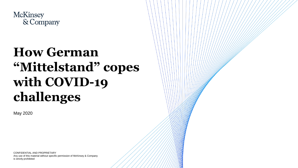

## **How German "Mittelstand" copes with COVID-19 challenges**

May 2020

CONFIDENTIAL AND PROPRIETARY Any use of this material without specific permission of McKinsey & Company is strictly prohibited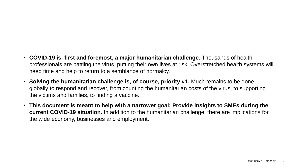- **COVID-19 is, first and foremost, a major humanitarian challenge.** Thousands of health professionals are battling the virus, putting their own lives at risk. Overstretched health systems will need time and help to return to a semblance of normalcy.
- **Solving the humanitarian challenge is, of course, priority #1.** Much remains to be done globally to respond and recover, from counting the humanitarian costs of the virus, to supporting the victims and families, to finding a vaccine.
- **This document is meant to help with a narrower goal: Provide insights to SMEs during the current COVID-19 situation.** In addition to the humanitarian challenge, there are implications for the wide economy, businesses and employment.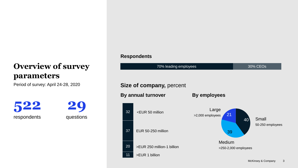### **Overview of survey parameters**

**522** respondents

**29** questions

#### **By employees** Period of survey: April 24-28, 2020 **Size of company,** percent 21 40 39 Small 50-250 employees Medium >250-2,000 employees Large >2,000 employees **Respondents** 70% leading employees 30% CEOs 32 37 20 11 **By annual turnover** >EUR 1 billion <EUR 50 million EUR 50-250 million >EUR 250 million-1 billion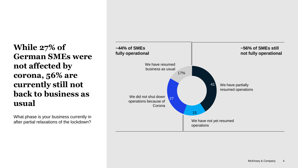**While 27% of German SMEs were not affected by corona, 56% are currently still not back to business as usual** 

What phase is your business currently in after partial relaxations of the lockdown?

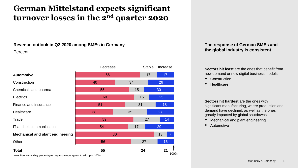### **German Mittelstand expects significant turnover losses in the 2nd quarter 2020**

#### **Revenue outlook in Q2 2020 among SMEs in Germany**

#### Percent

|                                                     | Decrease |    | <b>Stable</b> | Increase        |  |
|-----------------------------------------------------|----------|----|---------------|-----------------|--|
| <b>Automotive</b>                                   | 66       |    | 17            | 17 <sub>2</sub> |  |
| Construction                                        | 40       | 34 |               | 26              |  |
| Chemicals and pharma                                | 55       |    | 15            | 30              |  |
| <b>Electrics</b>                                    | 60       |    | 15            | 25              |  |
| Finance and insurance                               | 51       |    | 31            | 18              |  |
| Healthcare                                          | 38       | 35 |               | 27              |  |
| Trade                                               | 59       |    | 27            | 14              |  |
| IT and telecommunication                            | 54       |    | 17            | 29              |  |
| <b>Mechanical and plant engineering</b>             | 80       |    |               | 13              |  |
| Other                                               | 56       |    | 27            | 16              |  |
| <b>Total</b><br>and the contract of the contract of | 55       |    | 24            | 21<br>100%      |  |

#### **The response of German SMEs and the global industry is consistent**

**Sectors hit least** are the ones that benefit from new demand or new digital business models

- Construction
- Healthcare

**Sectors hit hardest are the ones with** significant manufacturing, where production and demand have declined, as well as the ones greatly impacted by global shutdowns

- Mechanical and plant engineering
- Automotive

Note: Due to rounding, percentages may not always appear to add up to 100%.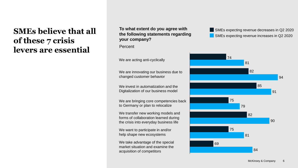### **SMEs believe that all of these 7 crisis levers are essential**

#### **To what extent do you agree with the following statements regarding your company?**

Percent

We are innovating our business due to changed customer behavior

We invest in automatization and the Digitalization of our business model

We are bringing core competencies back to Germany or plan to relocalize

We transfer new working models and forms of collaboration learned during the crisis into everyday business life

We want to participate in and/or help shape new ecosystems

We take advantage of the special market situation and examine the acquisition of competitors

SMEs expecting revenue decreases in Q2 2020 SMEs expecting revenue increases in Q2 2020

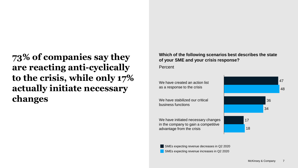**73% of companies say they are reacting anti-cyclically to the crisis, while only 17% actually initiate necessary changes**

**Which of the following scenarios best describes the state of your SME and your crisis response?**

**Percent** 

We have created an action list as a response to the crisis

We have stabilized our critical business functions

We have initiated necessary changes in the company to gain a competitive advantage from the crisis



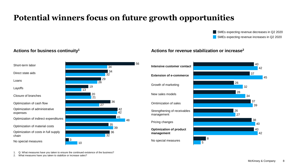### **Potential winners focus on future growth opportunities**

56

SMEs expecting revenue increases in Q2 2020 SMEs expecting revenue decreases in Q2 2020



#### **Actions for business continuity<sup>1</sup> Actions for revenue stabilization or increase<sup>2</sup>**



1. Q: What measures have you taken to ensure the continued existence of the business?

2. What measures have you taken to stabilize or increase sales?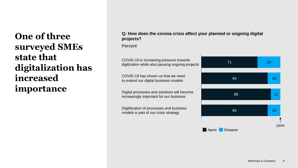## **One of three surveyed SMEs state that digitalization has increased importance**

#### **Q: How does the corona crisis affect your planned or ongoing digital projects?**

Percent

COVID-19 is increasing pressure towards digitization while also pausing ongoing projects

COVID-19 has shown us that we need to extend our digital business models

Digital processes and solutions will become increasingly important for our business

Digitilization of processes and business models is part of our crisis strategy

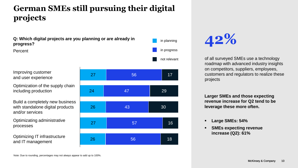### **German SMEs still pursuing their digital projects**



# **42%**

of all surveyed SMEs use a technology roadmap with advanced industry insights on competitors, suppliers, employees, customers and regulators to realize these projects

**Larger SMEs and those expecting revenue increase for Q2 tend to be leverage these more often.**

- **Large SMEs: 54%**
- **SMEs expecting revenue increase (Q2): 61%**

Note: Due to rounding, percentages may not always appear to add up to 100%.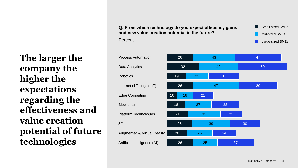**Q: From which technology do you expect efficiency gains and new value creation potential in the future?**



**The larger the company the higher the expectations regarding the effectiveness and value creation potential of future technologies**



Percent

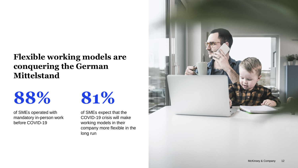### **Flexible working models are conquering the German Mittelstand**

of SMEs operated with mandatory in-person work before COVID-19



of SMEs expect that the COVID-19 crisis will make working models in their company more flexible in the long run

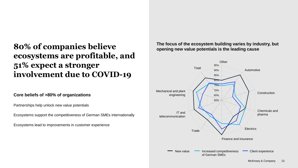### **80% of companies believe ecosystems are profitable, and 51% expect a stronger involvement due to COVID-19**

#### **Core beliefs of >80% of organizations**

Partnerships help unlock new value potentials

Ecosystems support the competitiveness of German SMEs internationally

Ecosystems lead to improvements in customer experience

**The focus of the ecosystem building varies by industry, but opening new value potentials is the leading cause** 

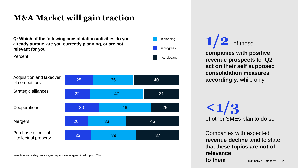### **M&A Market will gain traction**

**Q: Which of the following consolidation activities do you already pursue, are you currently planning, or are not relevant for you** 

Percent

Acquisition and takeover of competitors Strategic alliances

**Cooperations** 

Mergers

Purchase of critical intellectual property



Note: Due to rounding, percentages may not always appear to add up to 100%.

not relevant in planning in progress

## $1/2$  of those

**companies with positive revenue prospects** for Q2 **act on their self supposed consolidation measures accordingly**, while only

**<1/3** of other SMEs plan to do so

McKinsey & Company 14 Companies with expected **revenue decline** tend to state that these **topics are not of relevance to them**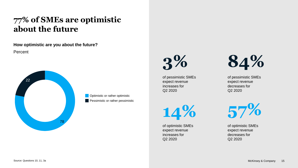### **77% of SMEs are optimistic about the future**

**How optimistic are you about the future?** 

Percent



**Optimistic or rather optimistic Pessimistic or rather pessimistic**  **3%**

of pessimistic SMEs expect revenue increases for Q2 2020

**14%**

of optimistic SMEs expect revenue increases for Q2 2020



of pessimistic SMEs expect revenue decreases for Q2 2020



of optimistic SMEs expect revenue decreases for Q2 2020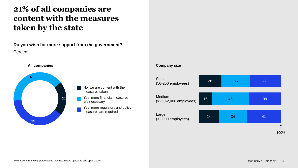### **21% of all companies are content with the measures taken by the state**

**Do you wish for more support from the government?** Percent



#### No, we are content with the measures taken

Yes, more financial measures are necessary

Yes, more regulatory and policy measures are required

#### **Company size**